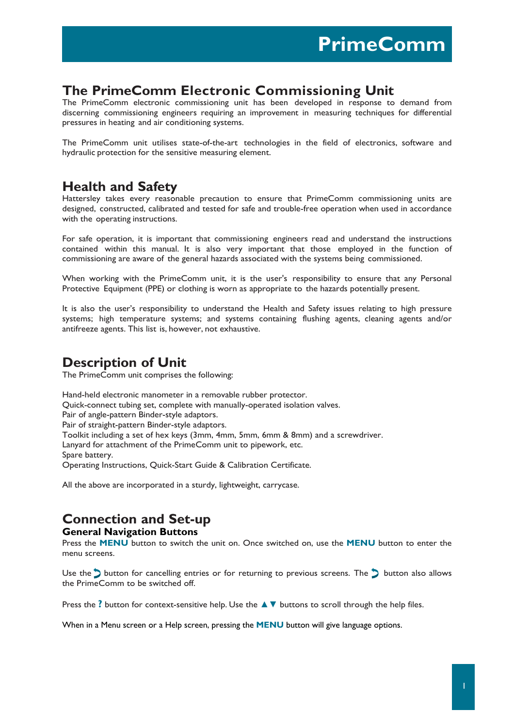## **The PrimeComm Electronic Commissioning Unit**

The PrimeComm electronic commissioning unit has been developed in response to demand from discerning commissioning engineers requiring an improvement in measuring techniques for differential pressures in heating and air conditioning systems.

The PrimeComm unit utilises state-of-the-art technologies in the field of electronics, software and hydraulic protection for the sensitive measuring element.

## **Health and Safety**

Hattersley takes every reasonable precaution to ensure that PrimeComm commissioning units are designed, constructed, calibrated and tested for safe and trouble-free operation when used in accordance with the operating instructions.

For safe operation, it is important that commissioning engineers read and understand the instructions contained within this manual. It is also very important that those employed in the function of commissioning are aware of the general hazards associated with the systems being commissioned.

When working with the PrimeComm unit, it is the user's responsibility to ensure that any Personal Protective Equipment (PPE) or clothing is worn as appropriate to the hazards potentially present.

It is also the user's responsibility to understand the Health and Safety issues relating to high pressure systems; high temperature systems; and systems containing flushing agents, cleaning agents and/or antifreeze agents. This list is, however, not exhaustive.

## **Description of Unit**

The PrimeComm unit comprises the following:

Hand-held electronic manometer in a removable rubber protector. Quick-connect tubing set, complete with manually-operated isolation valves. Pair of angle-pattern Binder-style adaptors. Pair of straight-pattern Binder-style adaptors. Toolkit including a set of hex keys (3mm, 4mm, 5mm, 6mm & 8mm) and a screwdriver. Lanyard for attachment of the PrimeComm unit to pipework, etc. Spare battery. Operating Instructions, Quick-Start Guide & Calibration Certificate.

All the above are incorporated in a sturdy, lightweight, carrycase.

## **Connection and Set-up**

#### **General Navigation Buttons**

Press the **MENU** button to switch the unit on. Once switched on, use the **MENU** button to enter the menu screens.

Use the  $\sum$  button for cancelling entries or for returning to previous screens. The  $\sum$  button also allows the PrimeComm to be switched off.

Press the **?** button for context-sensitive help. Use the **▲**▼ buttons to scroll through the help files.

When in a Menu screen or a Help screen, pressing the **MENU** button will give language options.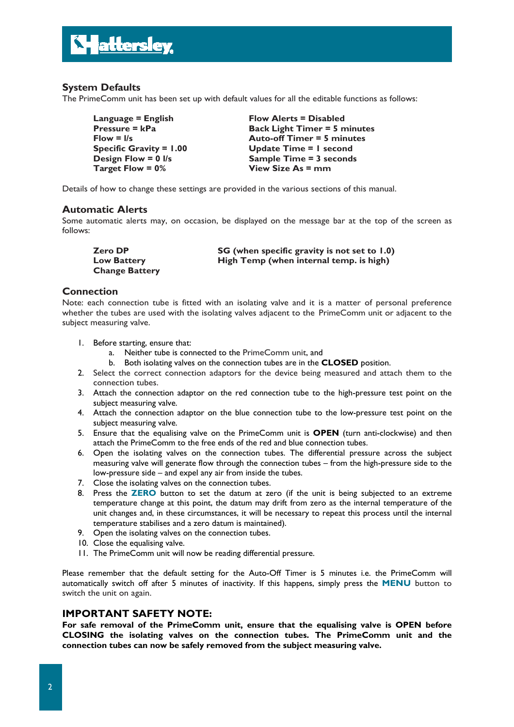

## **System Defaults**

The PrimeComm unit has been set up with default values for all the editable functions as follows:

Language = English Flow Alerts = Disabled **Pressure = kPa** Back Light Timer = 5 minutes **Flow = l/s Auto-off Timer = 5 minutes Specific Gravity = 1.00 Update Time = 1 second Design Flow = 0 l/s** Sample Time = 3 seconds **Target Flow = 0% View Size As = mm**

Details of how to change these settings are provided in the various sections of this manual.

#### **Automatic Alerts**

Some automatic alerts may, on occasion, be displayed on the message bar at the top of the screen as follows:

**Zero DP** SG (when specific gravity is not set to 1.0)<br>
Low Battery High Temp (when internal temp. is high) High Temp (when internal temp. is high) **Change Battery**

#### **Connection**

Note: each connection tube is fitted with an isolating valve and it is a matter of personal preference whether the tubes are used with the isolating valves adjacent to the PrimeComm unit or adjacent to the subject measuring valve.

- 1. Before starting, ensure that:
	- a. Neither tube is connected to the PrimeComm unit, and
	- b. Both isolating valves on the connection tubes are in the **CLOSED** position.
- 2. Select the correct connection adaptors for the device being measured and attach them to the connection tubes.
- 3. Attach the connection adaptor on the red connection tube to the high-pressure test point on the subject measuring valve.
- 4. Attach the connection adaptor on the blue connection tube to the low-pressure test point on the subject measuring valve.
- 5. Ensure that the equalising valve on the PrimeComm unit is **OPEN** (turn anti-clockwise) and then attach the PrimeComm to the free ends of the red and blue connection tubes.
- 6. Open the isolating valves on the connection tubes. The differential pressure across the subject measuring valve will generate flow through the connection tubes – from the high-pressure side to the low-pressure side – and expel any air from inside the tubes.
- 7. Close the isolating valves on the connection tubes.
- 8. Press the **ZERO** button to set the datum at zero (if the unit is being subjected to an extreme temperature change at this point, the datum may drift from zero as the internal temperature of the unit changes and, in these circumstances, it will be necessary to repeat this process until the internal temperature stabilises and a zero datum is maintained).
- 9. Open the isolating valves on the connection tubes.
- 10. Close the equalising valve.
- 11. The PrimeComm unit will now be reading differential pressure.

Please remember that the default setting for the Auto-Off Timer is 5 minutes i.e. the PrimeComm will automatically switch off after 5 minutes of inactivity. If this happens, simply press the **MENU** button to switch the unit on again.

#### **IMPORTANT SAFETY NOTE:**

**For safe removal of the PrimeComm unit, ensure that the equalising valve is OPEN before CLOSING the isolating valves on the connection tubes. The PrimeComm unit and the connection tubes can now be safely removed from the subject measuring valve.**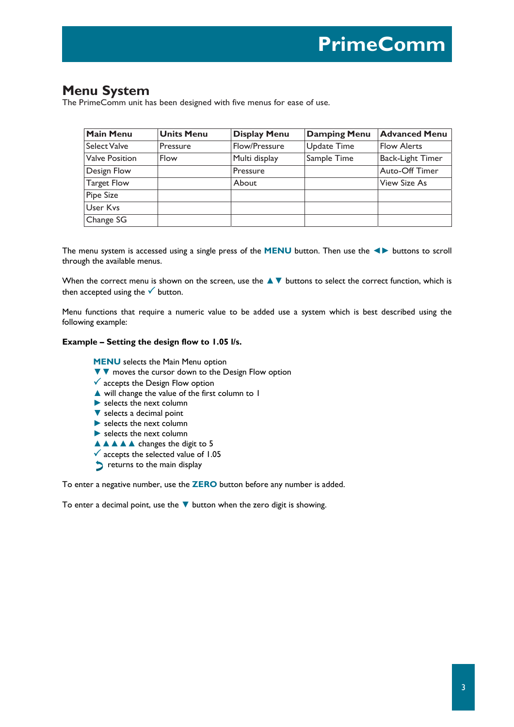## **Menu System**

The PrimeComm unit has been designed with five menus for ease of use.

| <b>Main Menu</b>      | <b>Units Menu</b> | <b>Display Menu</b> | <b>Damping Menu</b> | <b>Advanced Menu</b>    |
|-----------------------|-------------------|---------------------|---------------------|-------------------------|
| Select Valve          | Pressure          | Flow/Pressure       | <b>Update Time</b>  | <b>Flow Alerts</b>      |
| <b>Valve Position</b> | Flow              | Multi display       | Sample Time         | <b>Back-Light Timer</b> |
| Design Flow           |                   | Pressure            |                     | Auto-Off Timer          |
| Target Flow           |                   | About               |                     | View Size As            |
| <b>Pipe Size</b>      |                   |                     |                     |                         |
| <b>User Kys</b>       |                   |                     |                     |                         |
| Change SG             |                   |                     |                     |                         |

The menu system is accessed using a single press of the **MENU** button. Then use the **◄►** buttons to scroll through the available menus.

When the correct menu is shown on the screen, use the **▲▼** buttons to select the correct function, which is then accepted using the  $\checkmark$  button.

Menu functions that require a numeric value to be added use a system which is best described using the following example:

#### **Example – Setting the design flow to 1.05 l/s.**

**MENU** selects the Main Menu option

- ▼▼ moves the cursor down to the Design Flow option
- $\checkmark$  accepts the Design Flow option
- ▲ will change the value of the first column to 1
- $\blacktriangleright$  selects the next column
- ▼ selects a decimal point
- **►** selects the next column
- **►** selects the next column
- **▲▲▲▲** changes the digit to 5
- $\checkmark$  accepts the selected value of 1.05
- **P** returns to the main display

To enter a negative number, use the **ZERO** button before any number is added.

To enter a decimal point, use the ▼ button when the zero digit is showing.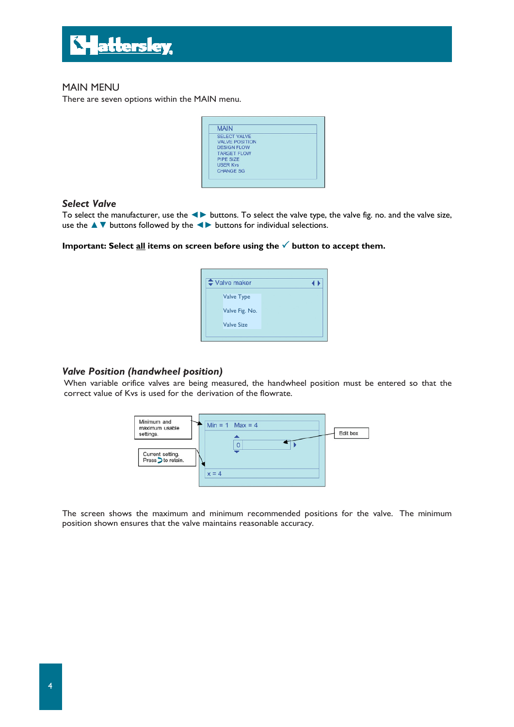

## MAIN MENU

There are seven options within the MAIN menu.

| <b>MAIN</b>           |  |
|-----------------------|--|
| <b>SELECT VALVE</b>   |  |
| <b>VALVE POSITION</b> |  |
| <b>DESIGN FLOW</b>    |  |
| <b>TARGET FLOW</b>    |  |
| <b>PIPE SIZE</b>      |  |
| <b>USER Kys</b>       |  |
| <b>CHANGE SG</b>      |  |

### *Select Valve*

To select the manufacturer, use the ◄► buttons. To select the valve type, the valve fig. no. and the valve size, use the ▲▼ buttons followed by the ◄► buttons for individual selections.

## Important: Select **all** items on screen before using the  $\checkmark$  button to accept them.

| $\div$ Valve maker |  |
|--------------------|--|
| <b>Valve Type</b>  |  |
| Valve Fig. No.     |  |
| <b>Valve Size</b>  |  |
|                    |  |

#### *Valve Position (handwheel position)*

When variable orifice valves are being measured, the handwheel position must be entered so that the correct value of Kvs is used for the derivation of the flowrate.



The screen shows the maximum and minimum recommended positions for the valve. The minimum position shown ensures that the valve maintains reasonable accuracy.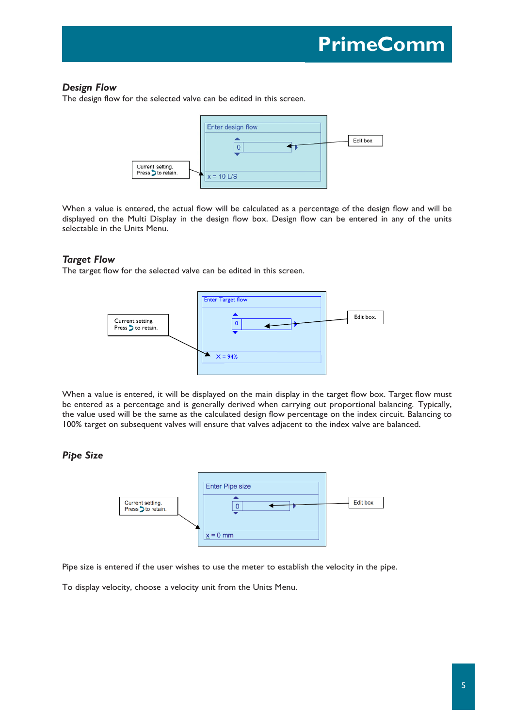## *Design Flow*

The design flow for the selected valve can be edited in this screen.



When a value is entered, the actual flow will be calculated as a percentage of the design flow and will be displayed on the Multi Display in the design flow box. Design flow can be entered in any of the units selectable in the Units Menu.

#### *Target Flow*

The target flow for the selected valve can be edited in this screen.



When a value is entered, it will be displayed on the main display in the target flow box. Target flow must be entered as a percentage and is generally derived when carrying out proportional balancing. Typically, the value used will be the same as the calculated design flow percentage on the index circuit. Balancing to 100% target on subsequent valves will ensure that valves adjacent to the index valve are balanced.

## *Pipe Size*



Pipe size is entered if the user wishes to use the meter to establish the velocity in the pipe.

To display velocity, choose a velocity unit from the Units Menu.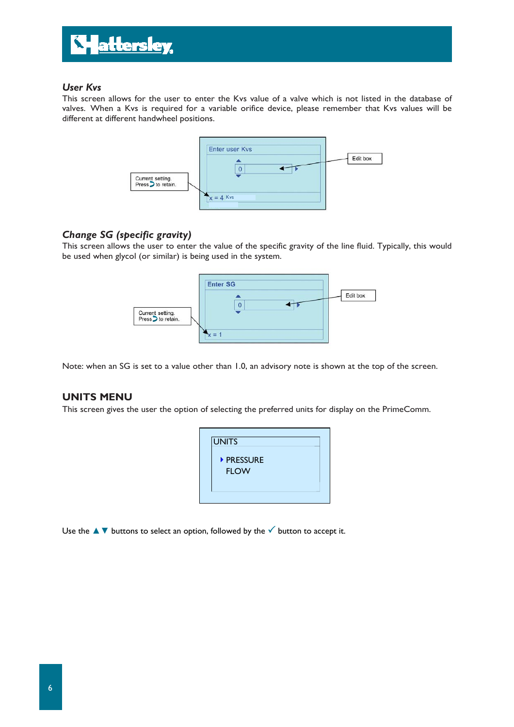

## *User Kvs*

This screen allows for the user to enter the Kvs value of a valve which is not listed in the database of valves. When a Kvs is required for a variable orifice device, please remember that Kvs values will be different at different handwheel positions.



## *Change SG (specific gravity)*

This screen allows the user to enter the value of the specific gravity of the line fluid. Typically, this would be used when glycol (or similar) is being used in the system.



Note: when an SG is set to a value other than 1.0, an advisory note is shown at the top of the screen.

## **UNITS MENU**

This screen gives the user the option of selecting the preferred units for display on the PrimeComm.



Use the  $\blacktriangle\blacktriangledown$  buttons to select an option, followed by the  $\blacktriangle$  button to accept it.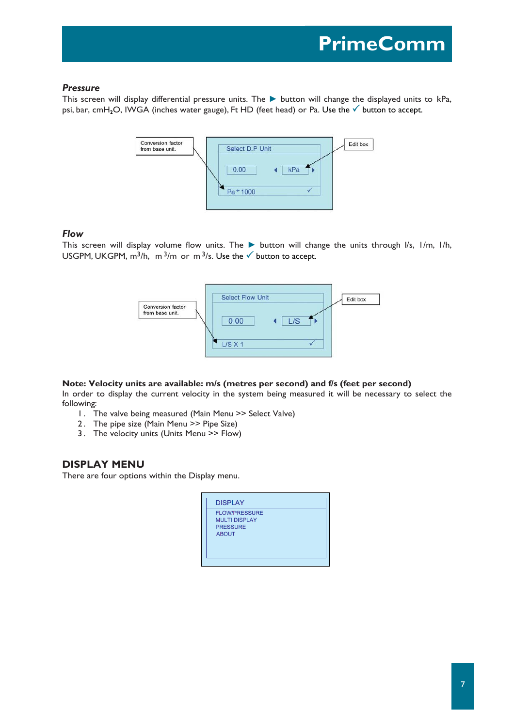### *Pressure*

This screen will display differential pressure units. The ► button will change the displayed units to kPa, psi, bar, cmH<sub>2</sub>O, IWGA (inches water gauge), Ft HD (feet head) or Pa. Use the **V** button to accept.



### *Flow*

This screen will display volume flow units. The ► button will change the units through l/s, l /m, l/h, USGPM, UKGPM,  $m^3/h$ ,  $m^3/m$  or  $m^3/s$ . Use the  $\checkmark$  button to accept.



### **Note: Velocity units are available: m/s (metres per second) and f/s (feet per second)**

In order to display the current velocity in the system being measured it will be necessary to select the following:

- 1. The valve being measured (Main Menu >> Select Valve)
- 2. The pipe size (Main Menu >> Pipe Size)
- 3. The velocity units (Units Menu >> Flow)

## **DISPLAY MENU**

There are four options within the Display menu.

| <b>FLOW/PRESSURE</b><br><b>MULTI DISPLAY</b><br><b>PRESSURE</b><br><b>ABOUT</b> | <b>DISPLAY</b> |  |
|---------------------------------------------------------------------------------|----------------|--|
|                                                                                 |                |  |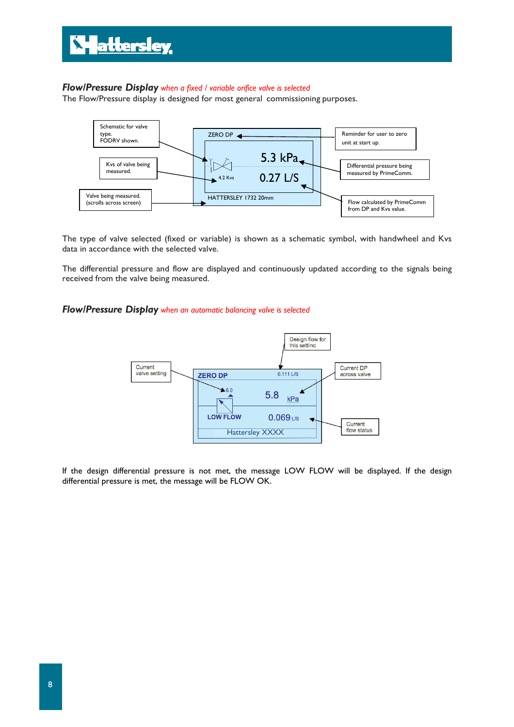## *Flow/Pressure Display when a fixed / variable orifice valve is selected*

The Flow/Pressure display is designed for most general commissioning purposes.



The type of valve selected (fixed or variable) is shown as a schematic symbol, with handwheel and Kvs data in accordance with the selected valve.

The differential pressure and flow are displayed and continuously updated according to the signals being received from the valve being measured.

#### *Flow/Pressure Display when an automatic balancing valve is selected*



If the design differential pressure is not met, the message LOW FLOW will be displayed. If the design differential pressure is met, the message will be FLOW OK.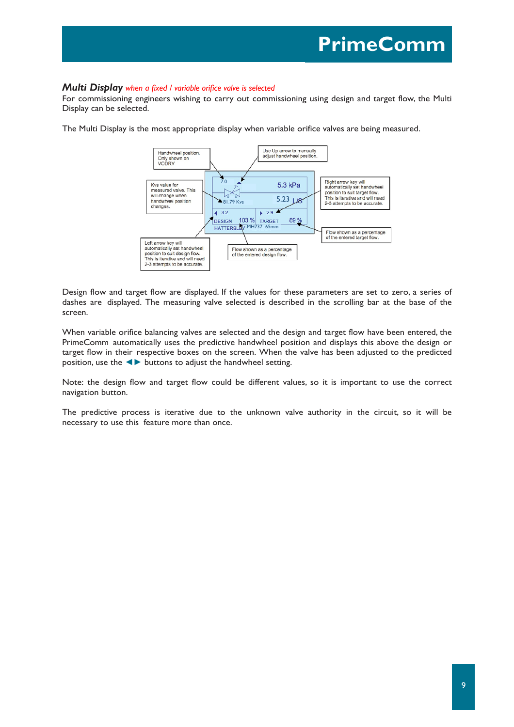#### *Multi Display when a fixed / variable orifice valve is selected*

For commissioning engineers wishing to carry out commissioning using design and target flow, the Multi Display can be selected.

The Multi Display is the most appropriate display when variable orifice valves are being measured.



Design flow and target flow are displayed. If the values for these parameters are set to zero, a series of dashes are displayed. The measuring valve selected is described in the scrolling bar at the base of the screen.

When variable orifice balancing valves are selected and the design and target flow have been entered, the PrimeComm automatically uses the predictive handwheel position and displays this above the design or target flow in their respective boxes on the screen. When the valve has been adjusted to the predicted position, use the **◄►** buttons to adjust the handwheel setting.

Note: the design flow and target flow could be different values, so it is important to use the correct navigation button.

The predictive process is iterative due to the unknown valve authority in the circuit, so it will be necessary to use this feature more than once.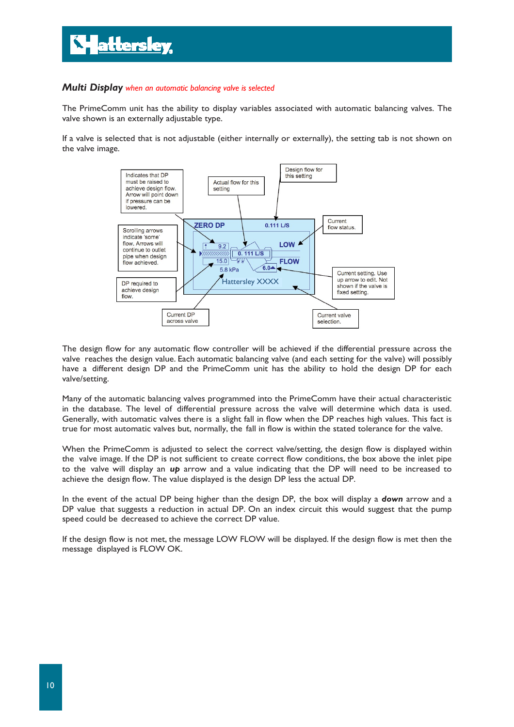#### *Multi Display when an automatic balancing valve is selected*

The PrimeComm unit has the ability to display variables associated with automatic balancing valves. The valve shown is an externally adjustable type.

If a valve is selected that is not adjustable (either internally or externally), the setting tab is not shown on the valve image.



The design flow for any automatic flow controller will be achieved if the differential pressure across the valve reaches the design value. Each automatic balancing valve (and each setting for the valve) will possibly have a different design DP and the PrimeComm unit has the ability to hold the design DP for each valve/setting.

Many of the automatic balancing valves programmed into the PrimeComm have their actual characteristic in the database. The level of differential pressure across the valve will determine which data is used. Generally, with automatic valves there is a slight fall in flow when the DP reaches high values. This fact is true for most automatic valves but, normally, the fall in flow is within the stated tolerance for the valve.

When the PrimeComm is adjusted to select the correct valve/setting, the design flow is displayed within the valve image. If the DP is not sufficient to create correct flow conditions, the box above the inlet pipe to the valve will display an *up* arrow and a value indicating that the DP will need to be increased to achieve the design flow. The value displayed is the design DP less the actual DP.

In the event of the actual DP being higher than the design DP, the box will display a *down* arrow and a DP value that suggests a reduction in actual DP. On an index circuit this would suggest that the pump speed could be decreased to achieve the correct DP value.

If the design flow is not met, the message LOW FLOW will be displayed. If the design flow is met then the message displayed is FLOW OK.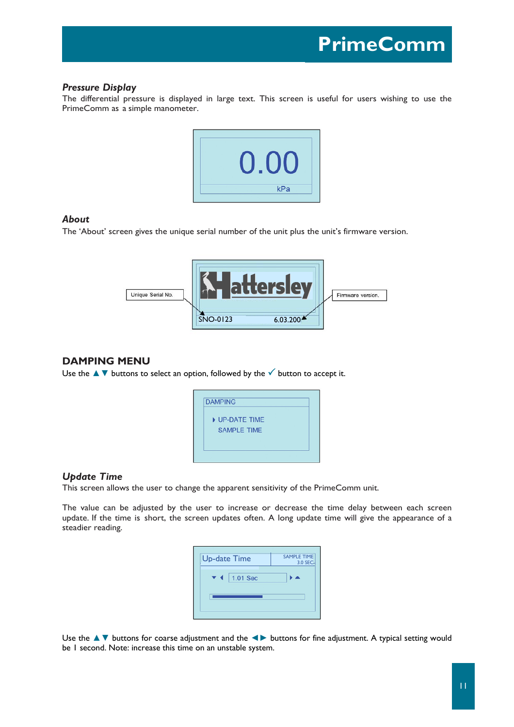### *Pressure Display*

The differential pressure is displayed in large text. This screen is useful for users wishing to use the PrimeComm as a simple manometer.



#### *About*

The 'About' screen gives the unique serial number of the unit plus the unit's firmware version.



## **DAMPING MENU**

Use the  $\blacktriangle \blacktriangledown$  buttons to select an option, followed by the  $\blacktriangledown$  button to accept it.



## *Update Time*

This screen allows the user to change the apparent sensitivity of the PrimeComm unit.

The value can be adjusted by the user to increase or decrease the time delay between each screen update. If the time is short, the screen updates often. A long update time will give the appearance of a steadier reading.



Use the ▲▼ buttons for coarse adjustment and the **◄►** buttons for fine adjustment. A typical setting would be 1 second. Note: increase this time on an unstable system.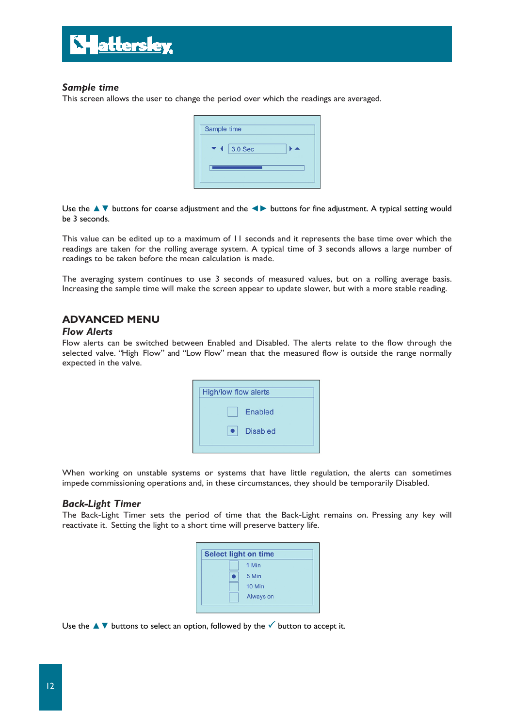

### *Sample time*

This screen allows the user to change the period over which the readings are averaged.

| Sample time    |  |
|----------------|--|
| 3.0 Sec<br>′ ∢ |  |
|                |  |

Use the ▲▼ buttons for coarse adjustment and the **◄►** buttons for fine adjustment. A typical setting would be 3 seconds.

This value can be edited up to a maximum of 11 seconds and it represents the base time over which the readings are taken for the rolling average system. A typical time of 3 seconds allows a large number of readings to be taken before the mean calculation is made.

The averaging system continues to use 3 seconds of measured values, but on a rolling average basis. Increasing the sample time will make the screen appear to update slower, but with a more stable reading.

## **ADVANCED MENU**

#### *Flow Alerts*

Flow alerts can be switched between Enabled and Disabled. The alerts relate to the flow through the selected valve. "High Flow" and "Low Flow" mean that the measured flow is outside the range normally expected in the valve.

![](_page_11_Picture_10.jpeg)

When working on unstable systems or systems that have little regulation, the alerts can sometimes impede commissioning operations and, in these circumstances, they should be temporarily Disabled.

#### *Back-Light Timer*

The Back-Light Timer sets the period of time that the Back-Light remains on. Pressing any key will reactivate it. Setting the light to a short time will preserve battery life.

![](_page_11_Figure_14.jpeg)

Use the  $\blacktriangle\blacktriangledown$  buttons to select an option, followed by the  $\blacktriangledown$  button to accept it.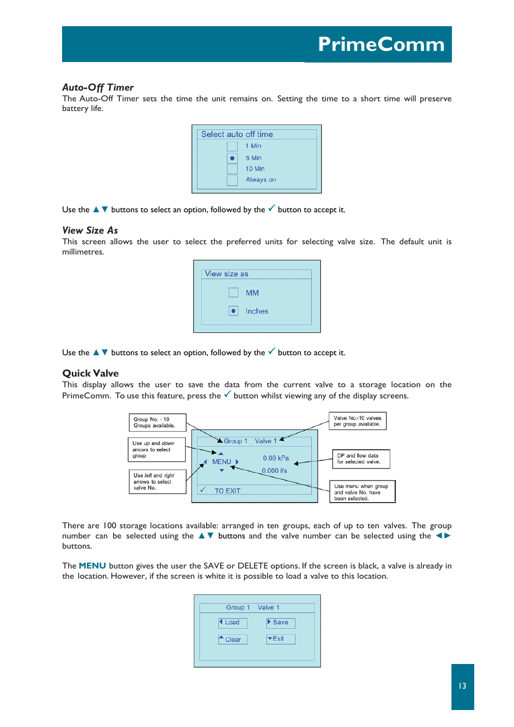## *Auto-Off Timer*

The Auto-Off Timer sets the time the unit remains on. Setting the time to a short time will preserve battery life.

| Select auto off time |  |           |  |  |  |  |
|----------------------|--|-----------|--|--|--|--|
|                      |  | 1 Min     |  |  |  |  |
|                      |  | 5 Min     |  |  |  |  |
|                      |  | 10 Min    |  |  |  |  |
|                      |  | Always on |  |  |  |  |
|                      |  |           |  |  |  |  |

Use the  $\blacktriangle \blacktriangledown$  buttons to select an option, followed by the  $\blacktriangledown$  button to accept it.

#### *View Size As*

This screen allows the user to select the preferred units for selecting valve size. The default unit is millimetres.

| View size as     |  |
|------------------|--|
| <b>MM</b>        |  |
| $\bullet$ Inches |  |
|                  |  |

Use the  $\blacktriangle$   $\blacktriangledown$  buttons to select an option, followed by the  $\blacktriangledown$  button to accept it.

#### **Quick Valve**

This display allows the user to save the data from the current valve to a storage location on the PrimeComm. To use this feature, press the  $\checkmark$  button whilst viewing any of the display screens.

![](_page_12_Figure_11.jpeg)

There are 100 storage locations available: arranged in ten groups, each of up to ten valves. The group number can be selected using the ▲▼ buttons and the valve number can be selected using the **◄►** buttons.

The **MENU** button gives the user the SAVE or DELETE options. If the screen is black, a valve is already in the location. However, if the screen is white it is possible to load a valve to this location.

| Group 1 Valve 1 |                       |
|-----------------|-----------------------|
| I Load          | $\triangleright$ Save |
| Clear           | $\nabla$ Exit         |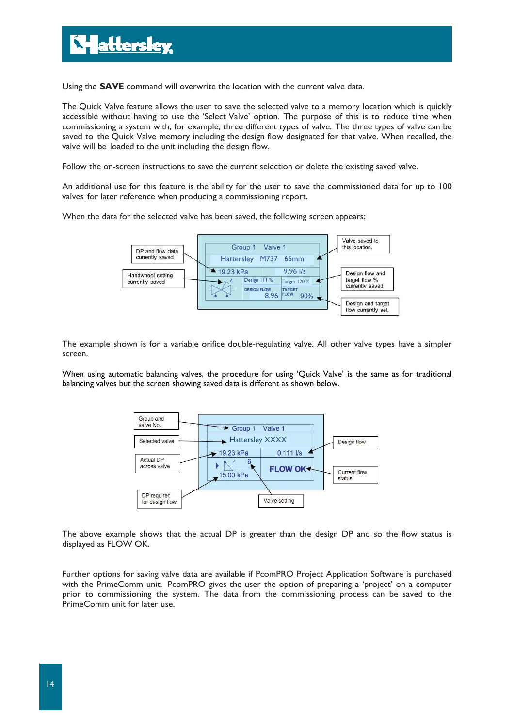Using the **SAVE** command will overwrite the location with the current valve data.

The Quick Valve feature allows the user to save the selected valve to a memory location which is quickly accessible without having to use the 'Select Valve' option. The purpose of this is to reduce time when commissioning a system with, for example, three different types of valve. The three types of valve can be saved to the Quick Valve memory including the design flow designated for that valve. When recalled, the valve will be loaded to the unit including the design flow.

Follow the on-screen instructions to save the current selection or delete the existing saved valve.

An additional use for this feature is the ability for the user to save the commissioned data for up to 100 valves for later reference when producing a commissioning report.

When the data for the selected valve has been saved, the following screen appears:

![](_page_13_Figure_6.jpeg)

The example shown is for a variable orifice double-regulating valve. All other valve types have a simpler screen.

When using automatic balancing valves, the procedure for using 'Quick Valve' is the same as for traditional balancing valves but the screen showing saved data is different as shown below.

![](_page_13_Figure_9.jpeg)

The above example shows that the actual DP is greater than the design DP and so the flow status is displayed as FLOW OK.

Further options for saving valve data are available if PcomPRO Project Application Software is purchased with the PrimeComm unit. PcomPRO gives the user the option of preparing a 'project' on a computer prior to commissioning the system. The data from the commissioning process can be saved to the PrimeComm unit for later use.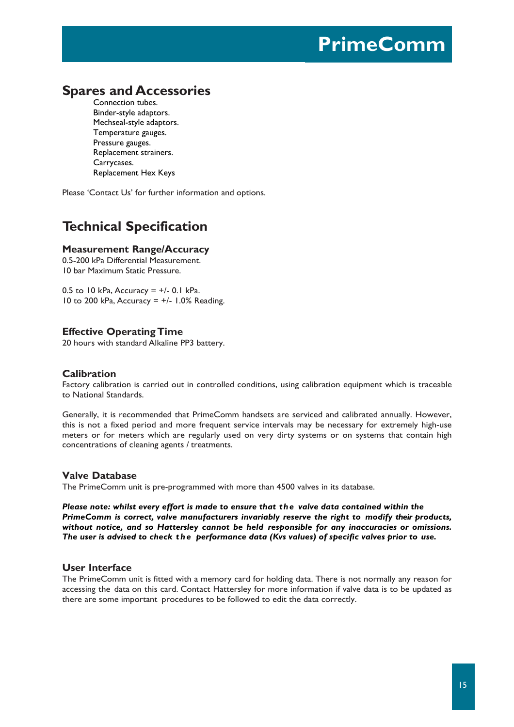## **Spares and Accessories**

Connection tubes. Binder-style adaptors. Mechseal-style adaptors. Temperature gauges. Pressure gauges. Replacement strainers. Carrycases. Replacement Hex Keys

Please 'Contact Us' for further information and options.

## **Technical Specification**

### **Measurement Range/Accuracy**

0.5-200 kPa Differential Measurement. 10 bar Maximum Static Pressure.

0.5 to 10 kPa, Accuracy =  $+/$ - 0.1 kPa. 10 to 200 kPa, Accuracy  $= +/- 1.0\%$  Reading.

### **Effective Operating Time**

20 hours with standard Alkaline PP3 battery.

## **Calibration**

Factory calibration is carried out in controlled conditions, using calibration equipment which is traceable to National Standards.

Generally, it is recommended that PrimeComm handsets are serviced and calibrated annually. However, this is not a fixed period and more frequent service intervals may be necessary for extremely high-use meters or for meters which are regularly used on very dirty systems or on systems that contain high concentrations of cleaning agents / treatments.

#### **Valve Database**

The PrimeComm unit is pre-programmed with more than 4500 valves in its database.

*Please note: whilst every effort is made to ensure that the valve data contained within the PrimeComm is correct, valve manufacturers invariably reserve the right to modify their products, without notice, and so Hattersley cannot be held responsible for any inaccuracies or omissions. The user is advised to check the performance data (Kvs values) of specific valves prior to use.* 

## **User Interface**

The PrimeComm unit is fitted with a memory card for holding data. There is not normally any reason for accessing the data on this card. Contact Hattersley for more information if valve data is to be updated as there are some important procedures to be followed to edit the data correctly.